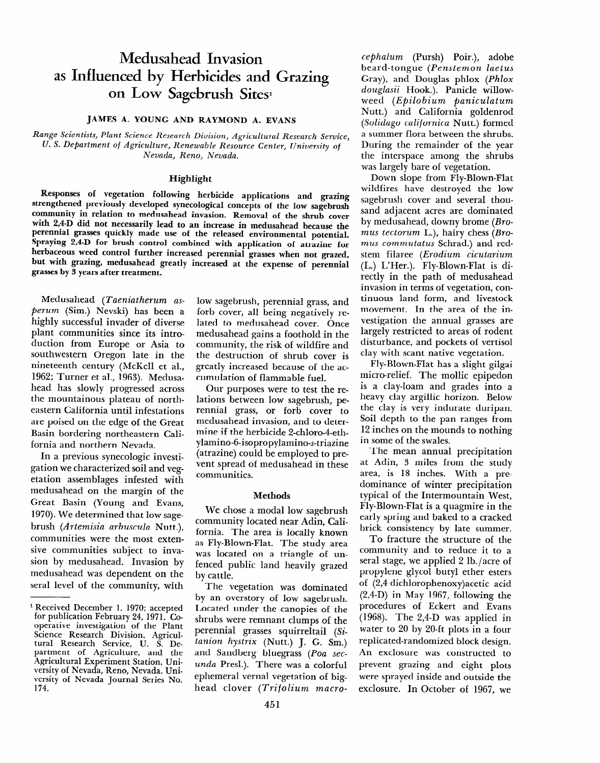# **Medusahead Invasion as Influenced by Herbicides and Grazing**  on Low Sagebrush Sites<sup>1</sup>

#### **JAMES A. YOUNG AND RAYMOND A. EVANS**

*Range Scientists, Plant Science Research Division, Agricultural Research Service, U. S. Department of Agriculture, Renewable Resource Center, University* **of**  *Nevada, Reno, Nevada.* 

#### Highlight

Responses of vegetation following herbicide applications and grazing strengthened previously developed synecological concepts of the low sagebrush community in relation to medusahead invasion. Removal of the shrub cover with 2,4-D did not necessarily lead to an increase in medusahead because the perennial grasses quickly made use of the released environmental potential. Spraying 2,4-D for brush control combined with application of atrazine for herbaceous weed control further increased perennial grasses when not grazed, but with grazing, medusahead greatly increased at the expense of perennial grasses by *3* years after treatment.

Medusahead *(Taeniatherum asperum (Sim.)* Nevski) has been a highly successful invader of diverse plant communities since its introduction from Europe or Asia to southwestern Oregon late in the nineteenth century (McKell et al., 1962; Turner et al., 1963). Medusahead has slowly progressed across the mountainous plateau of northeastern California until infestations are poised on the edge of the Great Basin bordering northeastern California and northern Nevada.

In a previous synecologic investigation we characterized soil and vegetation assemblages infested with medusahead on the margin of the Great Basin (Young and Evans, 1970). We determined that low sagebrush *(Artemisia arbuscula* Nutt.), communities were the most extensive communities subject to invasion by medusahead. Invasion by medusahead was dependent on the seral level of the community, with

low sagebrush, perennial grass, and forb cover, all being negatively related to medusahead cover. Once medusahead gains a foothold in the community, the risk of wildfire and the destruction of shrub cover is greatly increased because of the accumulation of flammable fuel.

Our purposes were to test the relations between low sagebrush, perennial grass, or forb cover to medusahead invasion, and to determine if the herbicide Z-chloro-4-ethylamino-6-isopropylamino-s-triazine (atrazine) could be employed to prevent spread of medusahead in these communities.

#### Methods

We chose a modal low sagebrush community located near Adin, California. The area is locally known as Fly-Blown-Flat. The study area was located on a triangle of unfenced public land heavily grazed by cattle.

The vegetation was dominated by an overstory of low sagebrush. Located under the canopies of the shrubs were remnant clumps of the perennial grasses squirreltail (Si*tanion hystrix* (Nutt.) J. G. Sm.) and Sandberg bluegrass (Poa sec*unda* Presl.). There was a colorful ephemeral vernal vegetation of bighead clover *(Trifolium macro-*

*cephalum* (Pursh) Poir.), adobe beard-tongue *(Penstemon laetus*  Gray), and Douglas phlox *(Phlox douglasii* Hook.). Panicle willowweed *(Epilobium paniculatum*  Nutt.) and California goldenrod *(Solidago californica* Nutt.) formed a summer flora between the shrubs. During the remainder of the year the interspace among the shrubs was largely bare of vegetation.

Down slope from Fly-Blown-Flat wildfires have destroyed the low sagebrush cover and several thousand adjacent acres are dominated by medusahead, downy brome *(Bromus tectorum* L.), hairy chess *(Bromus commutatus* Schrad.) and redstem filaree *(Erodium cicutarium*  (L.) L'Her.). Fly-Blown-Flat is directly in the path of medusahead invasion in terms of vegetation, continuous land form, and livestock movement. In the area of the investigation the annual grasses are largely restricted to areas of rodent disturbance, and pockets of vertisol clay with scant native vegetation.

Fly-Blown-Flat has a slight gilgai micro-relief. The mollic epipedon is a clay-loam and grades into a heavy clay argillic horizon. Below the clay is very indurate duripan. Soil depth to the pan ranges from 12 inches on the mounds to nothing in some of the swales.

The mean annual precipitation at Adin, 3 miles from the study area, is 18 inches. With a predominance of winter precipitation typical of the Intermountain West, Fly-Blown-Flat is a quagmire in the early spring and baked to a cracked brick consistency by late summer.

To fracture the structure of the community and to reduce it to a seral stage, we applied 2 lb./acre of propylene glycol butyl ether esters of (2,4-dichlorophenoxy)acetic acid (2,4-D) in May 1967, following the procedures of Eckert and Evans (1968). The 2,4-D was applied in water to 20 by ZO-ft plots in a four replicated-randomized block design. An exclosure was constructed to prevent grazing and eight plots were sprayed inside and outside the exclosure. In October of 1967, we

<sup>&</sup>lt;sup>1</sup> Received December 1, 1970; accepted for publication February 24, 197 1. *Co*operative investigation of the Plant Science Research Division, Agricultural Research Service, U. S. Department of Agriculture, and the Agricultural Experiment Station, University of Nevada, Reno, Nevada. University of Nevada Journal Series No. 174.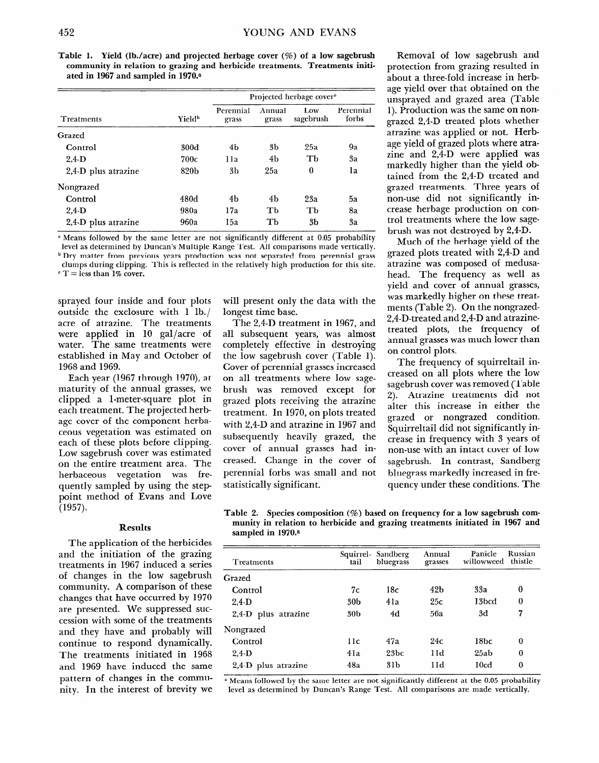**Table 1. Yield (lb./acre) and projected herbage cover (%) of a low sagebrush community in relation to grazing and herbicide treatments. Treatments initiated in 1967 and sampled in 1970.a** 

| Treatments          |                           | Projected herbage cover <sup>e</sup> |                 |                  |                    |
|---------------------|---------------------------|--------------------------------------|-----------------|------------------|--------------------|
|                     | <b>Yield</b> <sup>b</sup> | Perennial<br>grass                   | Annual<br>grass | Low<br>sagebrush | Perennial<br>forbs |
| Grazed              |                           |                                      |                 |                  |                    |
| Control             | 300d                      | 4b                                   | 3b              | 25a              | 9а                 |
| $2.4-D$             | 700c                      | 11a                                  | 4b              | Th               | 3a                 |
| 2,4-D plus atrazine | 820b                      | 3 <sub>b</sub>                       | 25a             | $\boldsymbol{0}$ | 1a                 |
| Nongrazed           |                           |                                      |                 |                  |                    |
| Control             | 480d                      | 4b                                   | 4b              | 23a              | 5a                 |
| $2.4-D$             | 980a                      | 17a                                  | Tb              | Th               | 8a                 |
| 2,4-D plus atrazine | 960a                      | 15a                                  | Тb              | 3b               | 3a                 |

u **Means followed by the same letter are not significantly different at 0.05 probability level as determined by Duncan's Multiple Range Test. All comparisons made vertically.** 

**b Dry matter from previous years production was not separated from perennial grass clumps during clipping. This is reflected in the relatively high production for this site.** 

 $c T =$  less than 1% cover.

sprayed four inside and four plots outside the exclosure with 1 lb./ acre of atrazine. The treatments were applied in 10 gal/acre of water. The same treatments were established in May and October of 1968 and 1969.

Each year (1967 through 1970), at maturity of the annual grasses, we clipped a l-meter-square plot in each treatment. The projected herbage cover of the component herbaceous vegetation was estimated on each of these plots before clipping. Low sagebrush cover was estimated on the entire treatment area. The herbaceous vegetation was frequently sampled by using the steppoint method of Evans and Love (1957).

#### **Results**

The application of the herbicides and the initiation of the grazing treatments in 1967 induced a series of changes in the low sagebrush community. A comparison of these changes that have occurred by 1970 are presented. We suppressed succession with some of the treatments and they have and probably will continue to respond dynamically. The treatments initiated in 1968 and 1969 have induced the same pattern of changes in the community. In the interest of brevity we will present only the data with the longest time base.

The 2,4-D treatment in 1967, and all subsequent years, was almost completely effective in destroying the low sagebrush cover (Table 1). Cover of perennial grasses increased on all treatments where low sagebrush was removed except for grazed plots receiving the atrazine treatment. In 1970, on plots treated with 2,4-D and atrazine in 1967 and subsequently heavily grazed, the cover of annual grasses had increased. Change in the cover of perennial forbs was small and not statistically significant.

Removal of low sagebrush and protection from grazing resulted in about a three-fold increase in herbage yield over that obtained on the unsprayed and grazed area (Table 1). Production was the same on nongrazed 2,4-D treated plots whether atrazine was applied or not. Herbage yield of grazed plots where atrazine and 2,4-D were applied was markedly higher than the yield obtained from the 2,4-D treated and grazed treatments. Three years of non-use did not significantly increase herbage production on control treatments where the low sagebrush was not destroyed by 2,4-D.

Much of the herbage yield of the grazed plots treated with 2,4-D and atrazine was composed of medusahead. The frequency as well as yield and cover of annual grasses, was markedly higher on these treatments (Table 2). On the nongrazed-2,4-D-treated and 2,4-D and atrazinetreated plots, the frequency of annual grasses was much lower than on control plots.

The frequency of squirreltail increased on all plots where the low sagebrush cover was removed (Table 2). Atrazine treatments did not alter this increase in either the grazed or nongrazed condition. Squirrel tail did not significantly increase in frequency with 3 years of non-use with an intact cover of low sagebrush. In contrast, Sandberg bluegrass markedly increased in frequency under these conditions. The

**Table 2. Species composition (%) based on frequency for a low sagebrush community in relation to herbicide and grazing treatments initiated in 1967 and sampled in 1970.a** 

| Treatments                | Squirrel-<br>tail | Sandberg<br>bluegrass | Annual<br>grasses | Panicle<br>willowweed | Russian<br>thistle |
|---------------------------|-------------------|-----------------------|-------------------|-----------------------|--------------------|
| Grazed                    |                   |                       |                   |                       |                    |
| Control                   | 7с                | 18c                   | 42 <sub>b</sub>   | 33a                   | 0                  |
| $2.4-D$                   | 30 <sub>b</sub>   | 41a                   | 25c               | 13bcd                 | $\bf{0}$           |
| $2,4$ -D<br>plus atrazine | 30 <sub>b</sub>   | 4d                    | 56a               | 3d                    | 7                  |
| Nongrazed                 |                   |                       |                   |                       |                    |
| Control                   | 11c               | 47a                   | 24c               | 18bc                  | $\bf{0}$           |
| $2,4$ -D                  | 41a               | 23bc                  | 11d               | 25ab                  | 0                  |
| $2,4$ -D<br>plus atrazine | 48a               | 31 <sub>b</sub>       | 11d               | 10 <sub>cd</sub>      | 0                  |

<sup>a</sup> Means followed by the same letter are not significantly different at the 0.05 probability **level as determined by Duncan's Range Test. All comparisons are made vertically.**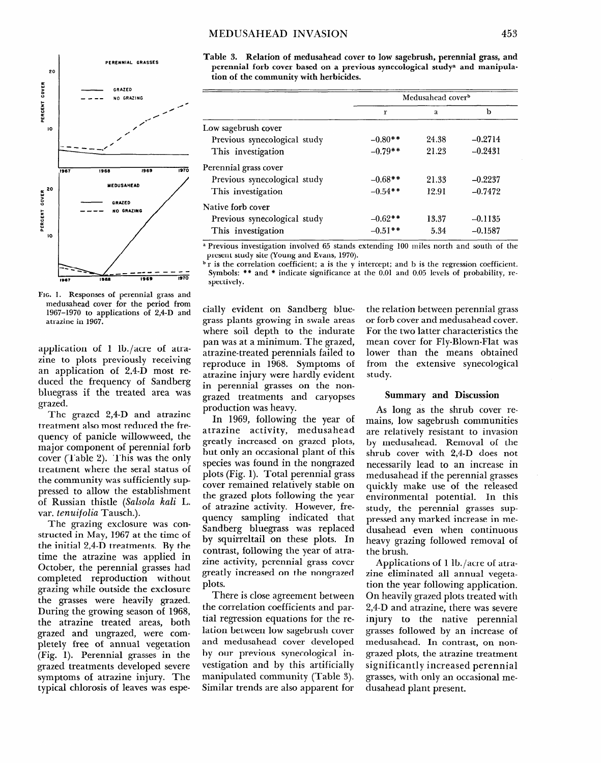### **MEDUSAHEAD INVASION 453**



. 1. Responses of perennial grass and medusahead cover for the period from 1967-1970 to applications of 2,4-D and atrazine in 1967.

application of 1 lb./acre of atrazine to plots previously receiving an application of 2,4-D most reduced the frequency of Sandberg bluegrass if the treated area was grazed.

The grazed 2,4-D and atrazine treatment also most reduced the frequency of panicle willowweed, the major component of perennial forb cover (Table 2). This was the only treatment where the seral status of the community was sufficiently suppressed to allow the establishment of Russian thistle *(Salsola kali* **L.**  var. *tenuifolia* Tausch.).

The grazing exclosure was constructed in May, 1967 at the time of the initial 2,4-D treatments. By the time the atrazine was applied in October, the perennial grasses had completed reproduction without grazing while outside the exclosure the grasses were heavily grazed. During the growing season of 1968, the atrazine treated areas, both grazed and ungrazed, were completely free of annual vegetation (Fig. 1). Perennial grasses in the grazed treatments developed severe symptoms of atrazine injury. The typical chlorosis of leaves was espeTable 3. Relation of medusahead cover to low sagebrush, perennial grass, and perennial forb cover based **on a previous synecological studya and manipulation of the community with herbicides.** 

|                              | Medusahead cover <sup>b</sup> |       |           |  |
|------------------------------|-------------------------------|-------|-----------|--|
|                              | r                             | a     | b         |  |
| Low sagebrush cover          |                               |       |           |  |
| Previous synecological study | $-0.80**$                     | 24.38 | $-0.2714$ |  |
| This investigation           | $-0.79$ **                    | 21.23 | $-0.2431$ |  |
| Perennial grass cover        |                               |       |           |  |
| Previous synecological study | $-0.68**$                     | 21.33 | $-0.2237$ |  |
| This investigation           | $-0.54**$                     | 12.91 | $-0.7472$ |  |
| Native forb cover            |                               |       |           |  |
| Previous synecological study | $-0.62**$                     | 13.37 | $-0.1135$ |  |
| This investigation           | $-0.51**$                     | 5.34  | $-0.1587$ |  |

p Previous investigation involved 65 stands extending 100 miles north and south of the present study site (Young and Evans, 1970).

 $\mathbf{b}$  r is the correlation coefficient; a is the y intercept; and b is the regression coefficient. Symbols: \*\* and \* indicate significance at the 0.01 and 0.05 levels of probability, respectively.

cially evident on Sandberg bluegrass plants growing in swale areas where soil depth to the indurate pan was at a minimum. The grazed, atrazine-treated perennials failed to reproduce in 1968. Symptoms of atrazine injury were hardly evident in perennial grasses on the nongrazed treatments and caryopses production was heavy.

In 1969, following the year of atrazine activity, medusahead greatly increased on grazed plots, but only an occasional plant of this species was found in the nongrazed plots (Fig. 1). Total perennial grass cover remained relatively stable on the grazed plots following the year of atrazine activity. However, frequency sampling indicated that Sandberg bluegrass was replaced by squirreltail on these plots. In contrast, following the year of atrazine activity, perennial grass cover greatly increased on the nongrazed plots.

There is close agreement between the correlation coefficients and partial regression equations for the relation between low sagebrush cover and medusahead cover developed by our previous synecological investigation and by this artificially manipulated community (Table 3). Similar trends are also apparent for

the relation between perennial grass or forb cover and medusahead cover. For the two latter characteristics the mean cover for Fly-Blown-Flat was lower than the means obtained from the extensive synecological study.

#### Summary and Discussion

As long as the shrub cover remains, low sagebrush communities are relatively resistant to invasion by medusahead. Removal of the shrub cover with 2,4-D does not necessarily lead to an increase in medusahead if the perennial grasses quickly make use of the released environmental potential. In this study, the perennial grasses suppressed any marked increase in medusahead even when continuous heavy grazing followed removal of the brush.

Applications of 1 lb./acre of atrazine eliminated all annual vegetation the year following application. On heavily grazed plots treated with 2,4-D and atrazine, there was severe injury to the native perennial grasses followed by an increase of medusahead. In contrast, on nongrazed plots, the atrazine treatment significantly increased perennial grasses, with only an occasional medusahead plant present.